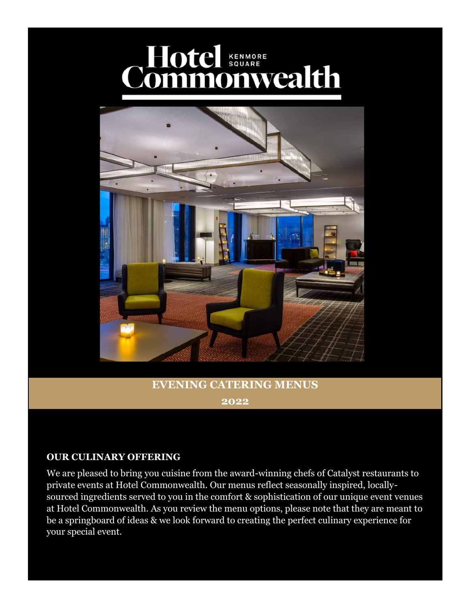# Commonwealth



### **EVENING CATERING MENUS 2022**

### **OUR CULINARY OFFERING**

We are pleased to bring you cuisine from the award-winning chefs of Catalyst restaurants to private events at Hotel Commonwealth. Our menus reflect seasonally inspired, locallysourced ingredients served to you in the comfort & sophistication of our unique event venues at Hotel Commonwealth. As you review the menu options, please note that they are meant to be a springboard of ideas & we look forward to creating the perfect culinary experience for your special event.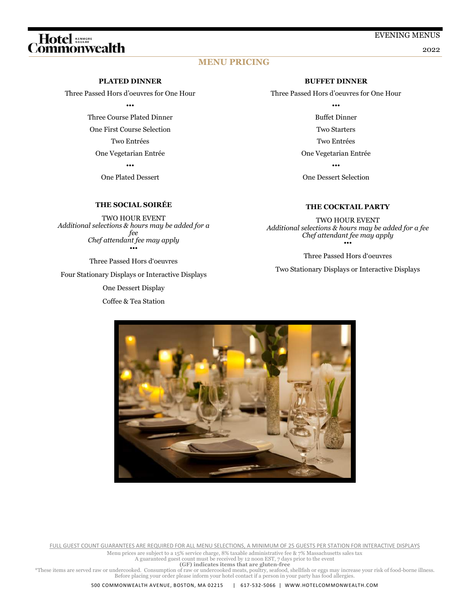# 

#### EVENING MENUS

2022

#### **MENU PRICING**

#### **PLATED DINNER**

Three Passed Hors d'oeuvres for One Hour

•••

Three Course Plated Dinner One First Course Selection Two Entrées One Vegetarian Entrée

•••

One Plated Dessert

#### **THE SOCIAL SOIRÉE**

TWO HOUR EVENT *Additional selections & hours may be added for a fee Chef attendant fee may apply* •••

Three Passed Hors d'oeuvres Four Stationary Displays or Interactive Displays One Dessert Display

Coffee & Tea Station

#### **BUFFET DINNER**

Three Passed Hors d'oeuvres for One Hour

••• Buffet Dinner Two Starters Two Entrées One Vegetarian Entrée

•••

One Dessert Selection

#### **THE COCKTAIL PARTY**

TWO HOUR EVENT *Additional selections & hours may be added for a fee Chef attendant fee may apply* •••

Three Passed Hors d'oeuvres

Two Stationary Displays or Interactive Displays



FULL GUEST COUNT GUARANTEES ARE REQUIRED FOR ALL MENU SELECTIONS, A MINIMUM OF 25 GUESTS PER STATION FOR INTERACTIVE DISPLAYS

Menu prices are subject to a 15% service charge, 8% taxable administrative fee & 7% Massachusetts sales tax

A guaranteed guest count must be received by 12 noon EST, 7 days prior to the event **(GF) indicates items that are gluten-free**

These items are served raw or undercooked. Consumption of raw or undercooked meats, poultry, seafood, shellfish or eggs may increase your risk of food-borne illness.<br>Before placing your order please inform your hotel conta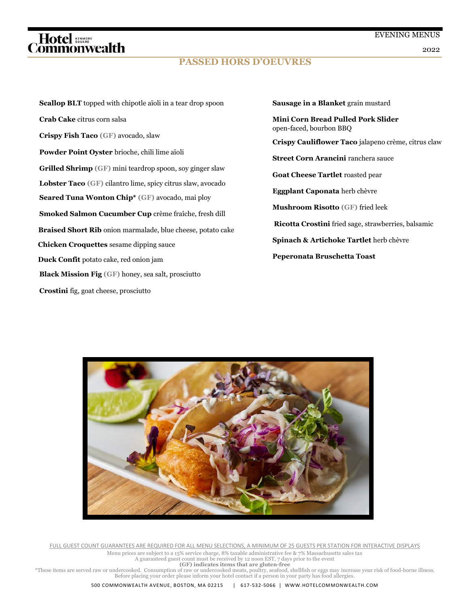# *、Hotel*<br>http://www.calth

### **PASSED HORS D'OEUVRES**

2022

**Scallop BLT** topped with chipotle aïoli in a tear drop spoon **Crab Cake** citrus corn salsa **Crispy Fish Taco (GF)** avocado, slaw **Powder Point Oyster** brioche, chili lime aïoli **Grilled Shrimp (GF)** mini teardrop spoon, soy ginger slaw **Lobster Taco (GF)** cilantro lime, spicy citrus slaw, avocado **Seared Tuna Wonton Chip\* (GF)** avocado, mai ploy **Smoked Salmon Cucumber Cup** crème fraîche, fresh dill  **Braised Short Rib** onion marmalade, blue cheese, potato cake **Chicken Croquettes** sesame dipping sauce **Duck Confit** potato cake, red onion jam **Black Mission Fig (GF)** honey, sea salt, prosciutto **Crostini** fig, goat cheese, prosciutto

**Sausage in a Blanket** grain mustard

**Mini Corn Bread Pulled Pork Slider**  open-faced, bourbon BBQ

**Crispy Cauliflower Taco** jalapeno crème, citrus claw

**Street Corn Arancini** ranchera sauce

**Goat Cheese Tartlet** roasted pear

**Eggplant Caponata** herb chèvre

**Mushroom Risotto (GF)** fried leek

 **Ricotta Crostini** fried sage, strawberries, balsamic

**Spinach & Artichoke Tartlet** herb chèvre

**Peperonata Bruschetta Toast**



FULL GUEST COUNT GUARANTEES ARE REQUIRED FOR ALL MENU SELECTIONS, A MINIMUM OF 25 GUESTS PER STATION FOR INTERACTIVE DISPLAYS

Menu prices are subject to a 15% service charge, 8% taxable administrative fee & 7% Massachusetts sales tax A guaranteed guest count must be received by 12 noon EST, 7 days prior to the event

**(GF) indicates items that are gluten-free**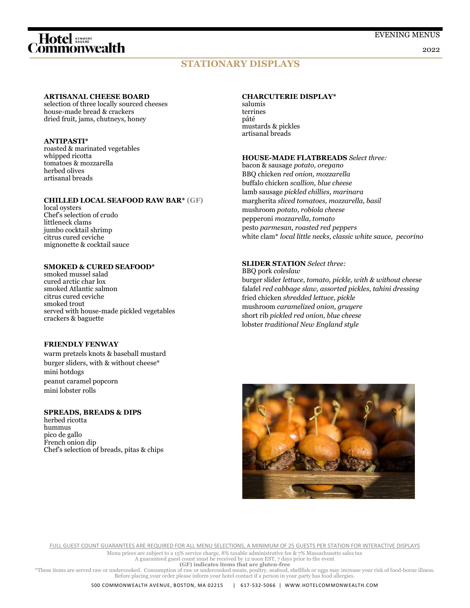# *E*<br>Hotel and the distribution of the district of the district of the district of the Middle District of the Middle

2022

### **STATIONARY DISPLAYS**

#### **ARTISANAL CHEESE BOARD**

selection of three locally sourced cheeses house-made bread & crackers dried fruit, jams, chutneys, honey

#### **ANTIPASTI\***

roasted & marinated vegetables whipped ricotta tomatoes & mozzarella herbed olives artisanal breads

#### **CHILLED LOCAL SEAFOOD RAW BAR\* (GF)**

local oysters Chef's selection of crudo littleneck clams jumbo cocktail shrimp citrus cured ceviche mignonette & cocktail sauce

#### **SMOKED & CURED SEAFOOD\***

smoked mussel salad cured arctic char lox smoked Atlantic salmon citrus cured ceviche smoked trout served with house-made pickled vegetables crackers & baguette

#### **FRIENDLY FENWAY**

warm pretzels knots & baseball mustard burger sliders, with & without cheese\* mini hotdogs peanut caramel popcorn mini lobster rolls

#### **SPREADS, BREADS & DIPS**

herbed ricotta hummus pico de gallo French onion dip Chef's selection of breads, pitas & chips

#### **CHARCUTERIE DISPLAY\***

salumis terrines pâté mustards & pickles artisanal breads

#### **HOUSE-MADE FLATBREADS** *Select three:*

bacon & sausage *potato, oregano* BBQ chicken *red onion, mozzarella*  buffalo chicken *scallion, blue cheese* lamb sausage *pickled chillies, marinara* margherita *sliced tomatoes, mozzarella, basil* mushroom *potato, robiola cheese* pepperoni *mozzarella, tomato* pesto *parmesan, roasted red peppers* white clam\* *local little necks, classic white sauce, pecorino*

#### **SLIDER STATION** *Select three:*

BBQ pork *coleslaw* burger slider *lettuce, tomato, pickle, with & without cheese* falafel *red cabbage slaw, assorted pickles, tahini dressing* fried chicken *shredded lettuce, pickle* mushroom *caramelized onion, gruyere* short rib *pickled red onion, blue cheese* lobster *traditional New England style* 



FULL GUEST COUNT GUARANTEES ARE REQUIRED FOR ALL MENU SELECTIONS, A MINIMUM OF 25 GUESTS PER STATION FOR INTERACTIVE DISPLAYS

Menu prices are subject to a 15% service charge, 8% taxable administrative fee & 7% Massachusetts sales tax

A guaranteed guest count must be received by 12 noon EST, 7 days prior to the event **(GF) indicates items that are gluten-free**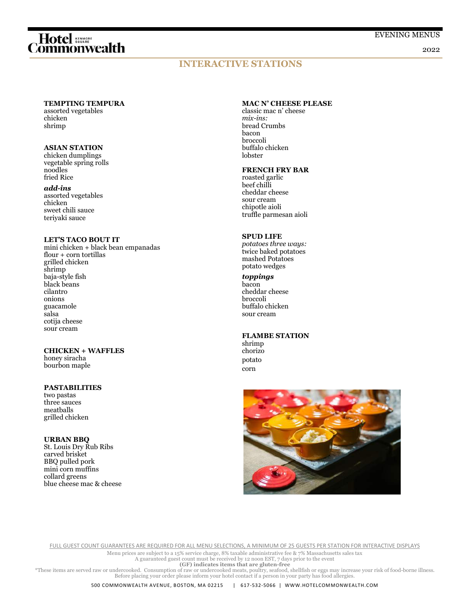# *E*<br>Hotel and the district district district district district district district district district district district<br>Alternative district district district district district district district district district district dis

2022

### **INTERACTIVE STATIONS**

#### **TEMPTING TEMPURA**

assorted vegetables chicken shrimp

#### **ASIAN STATION**

chicken dumplings vegetable spring rolls noodles fried Rice

#### *add-ins*

assorted vegetables chicken sweet chili sauce teriyaki sauce

#### **LET'S TACO BOUT IT**

mini chicken + black bean empanadas flour + corn tortillas grilled chicken shrimp baja-style fish black beans cilantro onions guacamole salsa cotija cheese sour cream

#### **CHICKEN + WAFFLES**

honey siracha bourbon maple

#### **PASTABILITIES**

two pastas three sauces meatballs grilled chicken

#### **URBAN BBQ**

St. Louis Dry Rub Ribs carved brisket BBQ pulled pork mini corn muffins collard greens blue cheese mac & cheese

#### **MAC N' CHEESE PLEASE**

classic mac n' cheese *mix-ins:* bread Crumbs bacon broccoli buffalo chicken lobster

#### **FRENCH FRY BAR**

roasted garlic beef chilli cheddar cheese sour cream chipotle aioli truffle parmesan aioli

#### **SPUD LIFE**

*potatoes three ways:*  twice baked potatoes mashed Potatoes potato wedges

#### *toppings*

bacon cheddar cheese broccoli buffalo chicken sour cream

#### **FLAMBE STATION**

shrimp chorizo potato corn



FULL GUEST COUNT GUARANTEES ARE REQUIRED FOR ALL MENU SELECTIONS, A MINIMUM OF 25 GUESTS PER STATION FOR INTERACTIVE DISPLAYS

Menu prices are subject to a 15% service charge, 8% taxable administrative fee & 7% Massachusetts sales tax A guaranteed guest count must be received by 12 noon EST, 7 days prior to the event

**(GF) indicates items that are gluten-free**<br>Free items are served raw or undercooked. Consumption of raw or undercooked meats, poultry, seafood, shellfish or eggs may increase your risk of food-borne illness.<br>Before placin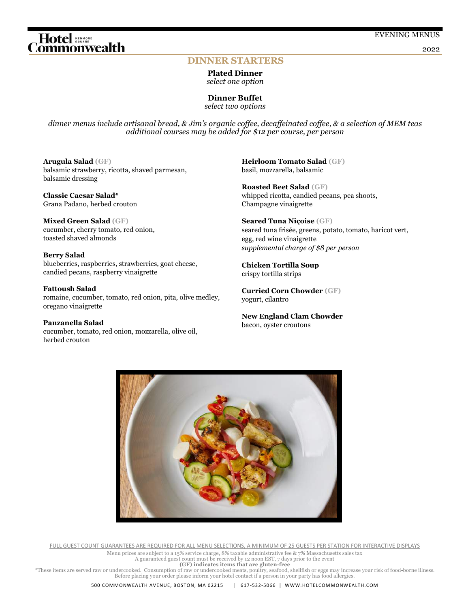2022

#### **DINNER STARTERS**

**Plated Dinner**  *select one option*

**Dinner Buffet** *select two options*

*dinner menus include artisanal bread, & Jim's organic coffee, decaffeinated coffee, & a selection of MEM teas additional courses may be added for \$12 per course, per person*

**Arugula Salad (GF)** balsamic strawberry, ricotta, shaved parmesan, balsamic dressing

**Classic Caesar Salad\***  Grana Padano, herbed crouton

**Mixed Green Salad (GF)** cucumber, cherry tomato, red onion, toasted shaved almonds

#### **Berry Salad**

blueberries, raspberries, strawberries, goat cheese, candied pecans, raspberry vinaigrette

**Fattoush Salad** 

romaine, cucumber, tomato, red onion, pita, olive medley, oregano vinaigrette

**Panzanella Salad** cucumber, tomato, red onion, mozzarella, olive oil, herbed crouton

**Heirloom Tomato Salad (GF)** basil, mozzarella, balsamic

**Roasted Beet Salad (GF)** whipped ricotta, candied pecans, pea shoots, Champagne vinaigrette

**Seared Tuna Niçoise (GF)** seared tuna frisée, greens, potato, tomato, haricot vert, egg, red wine vinaigrette *supplemental charge of \$8 per person*

**Chicken Tortilla Soup** crispy tortilla strips

**Curried Corn Chowder (GF)** yogurt, cilantro

**New England Clam Chowder** bacon, oyster croutons



FULL GUEST COUNT GUARANTEES ARE REQUIRED FOR ALL MENU SELECTIONS, A MINIMUM OF 25 GUESTS PER STATION FOR INTERACTIVE DISPLAYS

Menu prices are subject to a 15% service charge, 8% taxable administrative fee & 7% Massachusetts sales tax

A guaranteed guest count must be received by 12 noon EST, 7 days prior to the event

**(GF) indicates items that are gluten-free**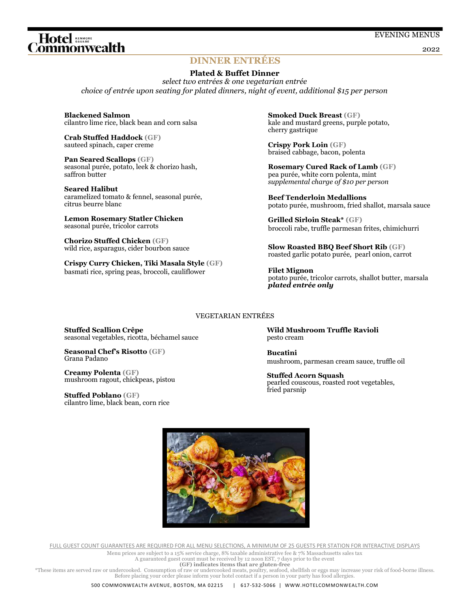#### 2022

#### **DINNER ENTRÉES**

#### **Plated & Buffet Dinner**

*select two entrées & one vegetarian entrée choice of entrée upon seating for plated dinners, night of event, additional \$15 per person*

**Blackened Salmon**  cilantro lime rice, black bean and corn salsa

**Crab Stuffed Haddock (GF)** sauteed spinach, caper creme

Hotel senser<br>ommonwealth

**Pan Seared Scallops (GF)** seasonal purée, potato, leek & chorizo hash, saffron butter

**Seared Halibut** caramelized tomato & fennel, seasonal purée, citrus beurre blanc

**Lemon Rosemary Statler Chicken** seasonal purée, tricolor carrots

**Chorizo Stuffed Chicken (GF)** wild rice, asparagus, cider bourbon sauce

seasonal vegetables, ricotta, béchamel sauce

**Stuffed Scallion Crêpe**

**Creamy Polenta (GF)**

**Stuffed Poblano (GF)**

Grana Padano

**Seasonal Chef's Risotto (GF)**

mushroom ragout, chickpeas, pistou

cilantro lime, black bean, corn rice

**Crispy Curry Chicken, Tiki Masala Style (GF)** basmati rice, spring peas, broccoli, cauliflower

**Smoked Duck Breast (GF)** kale and mustard greens, purple potato, cherry gastrique

**Crispy Pork Loin (GF)** braised cabbage, bacon, polenta

**Rosemary Cured Rack of Lamb (GF)** pea purée, white corn polenta, mint *supplemental charge of \$10 per person*

**Beef Tenderloin Medallions**  potato purée, mushroom, fried shallot, marsala sauce

**Grilled Sirloin Steak\* (GF)** broccoli rabe, truffle parmesan frites, chimichurri

**Slow Roasted BBQ Beef Short Rib (GF)** roasted garlic potato purée, pearl onion, carrot

**Filet Mignon**  potato purée, tricolor carrots, shallot butter, marsala *plated entrée only*

#### VEGETARIAN ENTRÉES

**Wild Mushroom Truffle Ravioli** pesto cream

**Bucatini** mushroom, parmesan cream sauce, truffle oil

**Stuffed Acorn Squash**  pearled couscous, roasted root vegetables, fried parsnip



FULL GUEST COUNT GUARANTEES ARE REQUIRED FOR ALL MENU SELECTIONS, A MINIMUM OF 25 GUESTS PER STATION FOR INTERACTIVE DISPLAYS

Menu prices are subject to a 15% service charge, 8% taxable administrative fee & 7% Massachusetts sales tax A guaranteed guest count must be received by 12 noon EST, 7 days prior to the event

**<sup>(</sup>GF) indicates items that are gluten-free**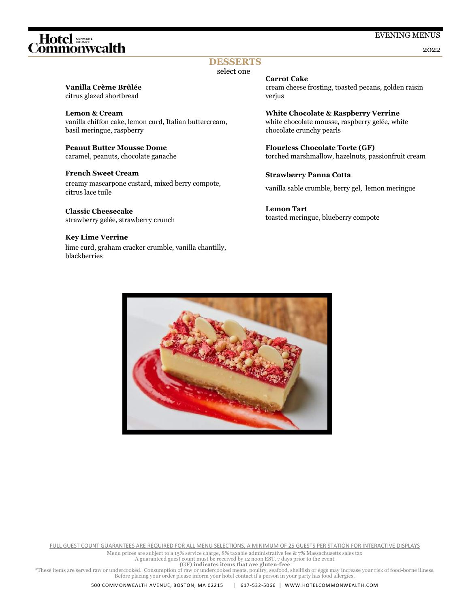# Hotel **stance**<br>ommonwealth

#### EVENING MENUS

2022

### **DESSERTS**

select one

### **Vanilla Crème Brûlée**

citrus glazed shortbread

#### **Lemon & Cream**

vanilla chiffon cake, lemon curd, Italian buttercream, basil meringue, raspberry

**Peanut Butter Mousse Dome** caramel, peanuts, chocolate ganache

#### **French Sweet Cream** creamy mascarpone custard, mixed berry compote, citrus lace tuile

**Classic Cheesecake** strawberry gelée, strawberry crunch

#### **Key Lime Verrine**

lime curd, graham cracker crumble, vanilla chantilly, blackberries

#### **Carrot Cake**

cream cheese frosting, toasted pecans, golden raisin verjus

**White Chocolate & Raspberry Verrine** white chocolate mousse, raspberry gelée, white chocolate crunchy pearls

**Flourless Chocolate Torte (GF)** torched marshmallow, hazelnuts, passionfruit cream

#### **Strawberry Panna Cotta**

vanilla sable crumble, berry gel, lemon meringue

**Lemon Tart**  toasted meringue, blueberry compote



FULL GUEST COUNT GUARANTEES ARE REQUIRED FOR ALL MENU SELECTIONS, A MINIMUM OF 25 GUESTS PER STATION FOR INTERACTIVE DISPLAYS

Menu prices are subject to a 15% service charge, 8% taxable administrative fee & 7% Massachusetts sales tax

A guaranteed guest count must be received by 12 noon EST, 7 days prior to the event

**(GF) indicates items that are gluten-free**

These items are served raw or undercooked. Consumption of raw or undercooked meats, poultry, seafood, shellfish or eggs may increase your risk of food-borne illness.<br>Before placing your order please inform your hotel conta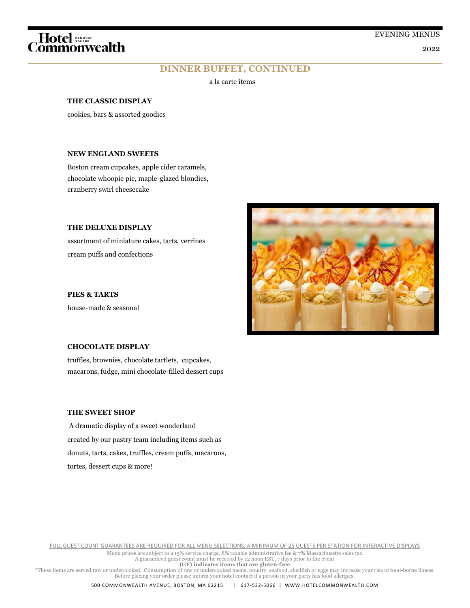2022

# Hotel and determined the commonwealth

### **DINNER BUFFET, CONTINUED**

a la carte items

#### **THE CLASSIC DISPLAY**

cookies, bars & assorted goodies

#### **NEW ENGLAND SWEETS**

Boston cream cupcakes, apple cider caramels, chocolate whoopie pie, maple-glazed blondies, cranberry swirl cheesecake

#### **THE DELUXE DISPLAY**

assortment of miniature cakes, tarts, verrines cream puffs and confections

**PIES & TARTS** house-made & seasonal



truffles, brownies, chocolate tartlets, cupcakes, macarons, fudge, mini chocolate-filled dessert cups

#### **THE SWEET SHOP**

A dramatic display of a sweet wonderland created by our pastry team including items such as donuts, tarts, cakes, truffles, cream puffs, macarons, tortes, dessert cups & more!

FULL GUEST COUNT GUARANTEES ARE REQUIRED FOR ALL MENU SELECTIONS, A MINIMUM OF 25 GUESTS PER STATION FOR INTERACTIVE DISPLAYS

Menu prices are subject to a 15% service charge, 8% taxable administrative fee & 7% Massachusetts sales tax A guaranteed guest count must be received by 12 noon EST, 7 days prior to the event

**(GF) indicates items that are gluten-free**

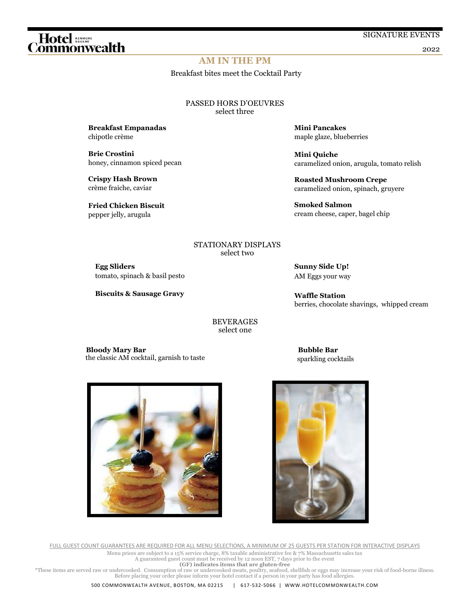#### SIGNATURE EVENTS

#### 2022

#### **AM IN THE PM**

Breakfast bites meet the Cocktail Party

PASSED HORS D'OEUVRES select three

**Breakfast Empanadas** chipotle crème

**Brie Crostini**  honey, cinnamon spiced pecan

**Crispy Hash Brown** 

**Mini Pancakes** maple glaze, blueberries

**Mini Quiche**  caramelized onion, arugula, tomato relish

**Roasted Mushroom Crepe**  caramelized onion, spinach, gruyere

**Smoked Salmon**  cream cheese, caper, bagel chip

#### STATIONARY DISPLAYS select two

**Egg Sliders**  tomato, spinach & basil pesto

**Biscuits & Sausage Gravy**

**Sunny Side Up!** AM Eggs your way

**Waffle Station** berries, chocolate shavings, whipped cream

BEVERAGES select one

 **Bloody Mary Bar** the classic AM cocktail, garnish to taste  **Bubble Bar** sparkling cocktails



FULL GUEST COUNT GUARANTEES ARE REQUIRED FOR ALL MENU SELECTIONS, A MINIMUM OF 25 GUESTS PER STATION FOR INTERACTIVE DISPLAYS Menu prices are subject to a 15% service charge, 8% taxable administrative fee & 7% Massachusetts sales tax

A guaranteed guest count must be received by 12 noon EST, 7 days prior to the event

**(GF) indicates items that are gluten-free**

These items are served raw or undercooked. Consumption of raw or undercooked meats, poultry, seafood, shellfish or eggs may increase your risk of food-borne illness.<br>Before placing your order please inform your hotel conta

# 

crème fraiche, caviar

**Fried Chicken Biscuit**  pepper jelly, arugula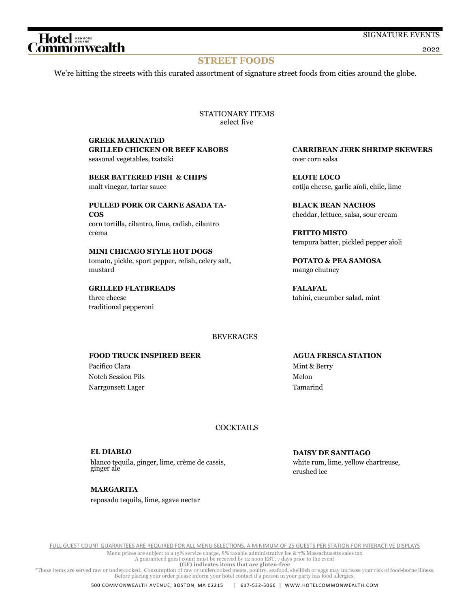#### 2022

#### **STREET FOODS**

We're hitting the streets with this curated assortment of signature street foods from cities around the globe.

STATIONARY ITEMS select five

#### **GREEK MARINATED GRILLED CHICKEN OR BEEF KABOBS**

seasonal vegetables, tzatziki

**BEER BATTERED FISH & CHIPS** malt vinegar, tartar sauce

**PULLED PORK OR CARNE ASADA TA-COS** corn tortilla, cilantro, lime, radish, cilantro crema

**MINI CHICAGO STYLE HOT DOGS** tomato, pickle, sport pepper, relish, celery salt, mustard

**GRILLED FLATBREADS** three cheese traditional pepperoni

**CARRIBEAN JERK SHRIMP SKEWERS** over corn salsa

**ELOTE LOCO** cotija cheese, garlic aïoli, chile, lime

**BLACK BEAN NACHOS** cheddar, lettuce, salsa, sour cream

**FRITTO MISTO** tempura batter, pickled pepper aïoli

**POTATO & PEA SAMOSA** mango chutney

**FALAFAL** tahini, cucumber salad, mint

#### **BEVERAGES**

#### **FOOD TRUCK INSPIRED BEER**

 Pacifico Clara Notch Session Pils Narrgonsett Lager  **AGUA FRESCA STATION** Mint & Berry Melon Tamarind

#### **COCKTAILS**

**EL DIABLO** blanco tequila, ginger, lime, crème de cassis, ginger ale

**DAISY DE SANTIAGO** white rum, lime, yellow chartreuse, crushed ice

**MARGARITA** reposado tequila, lime, agave nectar

FULL GUEST COUNT GUARANTEES ARE REQUIRED FOR ALL MENU SELECTIONS, A MINIMUM OF 25 GUESTS PER STATION FOR INTERACTIVE DISPLAYS

Menu prices are subject to a 15% service charge, 8% taxable administrative fee & 7% Massachusetts sales tax A guaranteed guest count must be received by 12 noon EST, 7 days prior to the event

**(GF) indicates items that are gluten-free**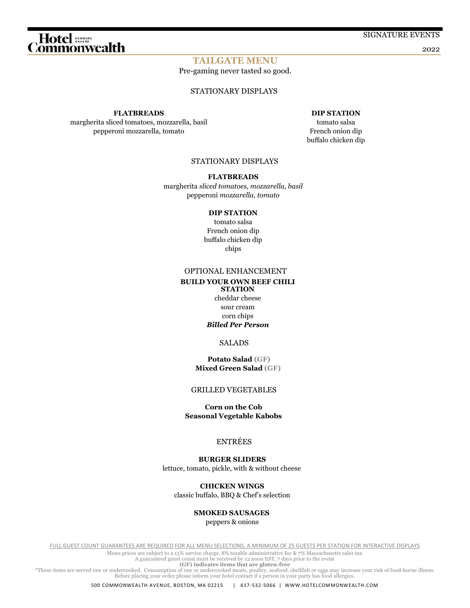# 

SIGNATURE EVENTS

2022

#### **TAILGATE MENU**

Pre-gaming never tasted so good.

#### STATIONARY DISPLAYS

#### **FLATBREADS**

margherita sliced tomatoes, mozzarella, basil pepperoni mozzarella, tomato

#### **DIP STATION**

tomato salsa French onion dip buffalo chicken dip

#### STATIONARY DISPLAYS

#### **FLATBREADS**

margherita *sliced tomatoes, mozzarella, basil* pepperoni *mozzarella, tomato*

#### **DIP STATION**

tomato salsa French onion dip buffalo chicken dip chips

#### OPTIONAL ENHANCEMENT

#### **BUILD YOUR OWN BEEF CHILI STATION**

cheddar cheese sour cream corn chips *Billed Per Person*

#### SALADS

#### **Potato Salad (GF) Mixed Green Salad (GF)**

#### GRILLED VEGETABLES

 **Corn on the Cob Seasonal Vegetable Kabobs**

#### ENTRÉES

 **BURGER SLIDERS** lettuce, tomato, pickle, with & without cheese

 **CHICKEN WINGS** classic buffalo, BBQ & Chef's selection

#### **SMOKED SAUSAGES**

peppers & onions

FULL GUEST COUNT GUARANTEES ARE REQUIRED FOR ALL MENU SELECTIONS, A MINIMUM OF 25 GUESTS PER STATION FOR INTERACTIVE DISPLAYS

Menu prices are subject to a 15% service charge, 8% taxable administrative fee & 7% Massachusetts sales tax

A guaranteed guest count must be received by 12 noon EST, 7 days prior to the event

**(GF) indicates items that are gluten-free**

These items are served raw or undercooked. Consumption of raw or undercooked meats, poultry, seafood, shellfish or eggs may increase your risk of food-borne illness.<br>Before placing your order please inform your hotel conta